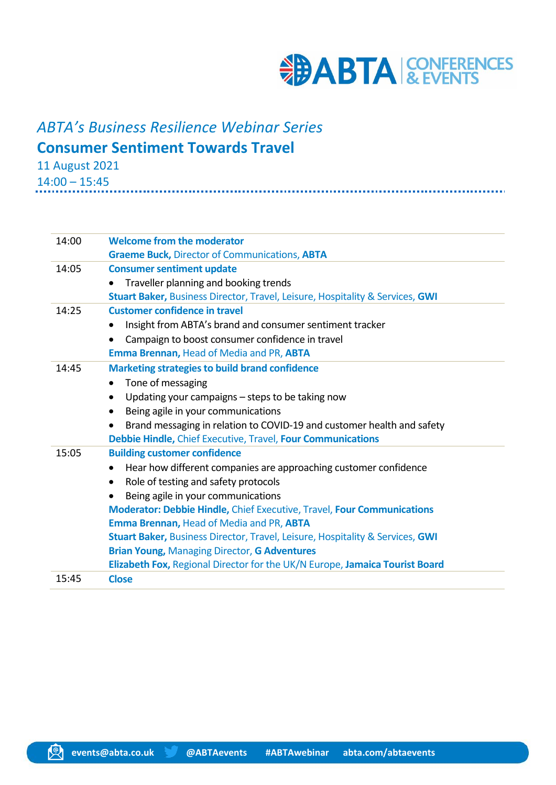

# *ABTA's Business Resilience Webinar Series* **Consumer Sentiment Towards Travel**

11 August 2021

14:00 – 15:45

| 14:00 | <b>Welcome from the moderator</b>                                                   |
|-------|-------------------------------------------------------------------------------------|
|       | <b>Graeme Buck, Director of Communications, ABTA</b>                                |
| 14:05 | <b>Consumer sentiment update</b>                                                    |
|       | Traveller planning and booking trends<br>$\bullet$                                  |
|       | Stuart Baker, Business Director, Travel, Leisure, Hospitality & Services, GWI       |
| 14:25 | <b>Customer confidence in travel</b>                                                |
|       | Insight from ABTA's brand and consumer sentiment tracker<br>$\bullet$               |
|       | Campaign to boost consumer confidence in travel<br>$\bullet$                        |
|       | Emma Brennan, Head of Media and PR, ABTA                                            |
| 14:45 | <b>Marketing strategies to build brand confidence</b>                               |
|       | Tone of messaging<br>$\bullet$                                                      |
|       | Updating your campaigns - steps to be taking now<br>$\bullet$                       |
|       | Being agile in your communications<br>$\bullet$                                     |
|       | Brand messaging in relation to COVID-19 and customer health and safety<br>$\bullet$ |
|       | Debbie Hindle, Chief Executive, Travel, Four Communications                         |
| 15:05 | <b>Building customer confidence</b>                                                 |
|       | Hear how different companies are approaching customer confidence<br>$\bullet$       |
|       | Role of testing and safety protocols<br>$\bullet$                                   |
|       | Being agile in your communications<br>$\bullet$                                     |
|       | <b>Moderator: Debbie Hindle, Chief Executive, Travel, Four Communications</b>       |
|       | Emma Brennan, Head of Media and PR, ABTA                                            |
|       | Stuart Baker, Business Director, Travel, Leisure, Hospitality & Services, GWI       |
|       | <b>Brian Young, Managing Director, G Adventures</b>                                 |
|       | Elizabeth Fox, Regional Director for the UK/N Europe, Jamaica Tourist Board         |
| 15:45 | <b>Close</b>                                                                        |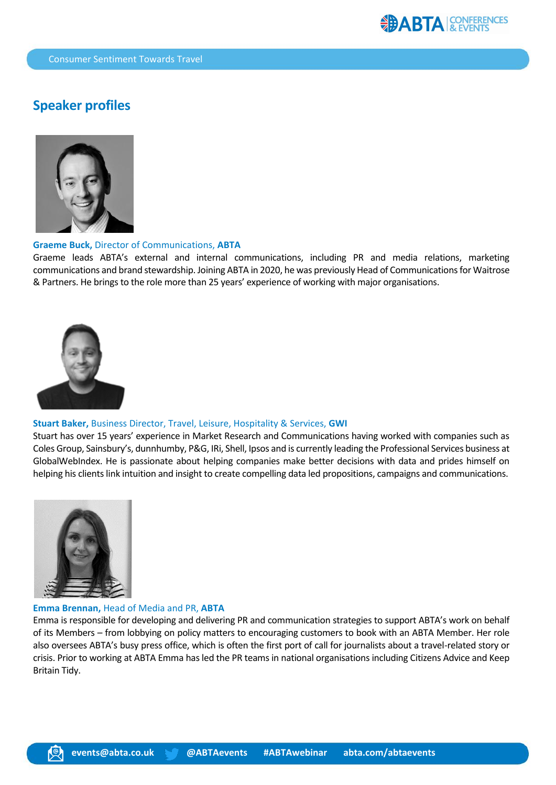

## **Speaker profiles**



#### **Graeme Buck,** Director of Communications, **ABTA**

Graeme leads ABTA's external and internal communications, including PR and media relations, marketing communications and brand stewardship. Joining ABTA in 2020, he was previously Head of Communications for Waitrose & Partners. He brings to the role more than 25 years' experience of working with major organisations.



#### **Stuart Baker,** Business Director, Travel, Leisure, Hospitality & Services, **GWI**

Stuart has over 15 years' experience in Market Research and Communications having worked with companies such as Coles Group, Sainsbury's, dunnhumby, P&G, IRi, Shell, Ipsos and is currently leading the Professional Services business at GlobalWebIndex. He is passionate about helping companies make better decisions with data and prides himself on helping his clients link intuition and insight to create compelling data led propositions, campaigns and communications.



#### **Emma Brennan,** Head of Media and PR, **ABTA**

Emma is responsible for developing and delivering PR and communication strategies to support ABTA's work on behalf of its Members – from lobbying on policy matters to encouraging customers to book with an ABTA Member. Her role also oversees ABTA's busy press office, which is often the first port of call for journalists about a travel-related story or crisis. Prior to working at ABTA Emma has led the PR teams in national organisations including Citizens Advice and Keep Britain Tidy.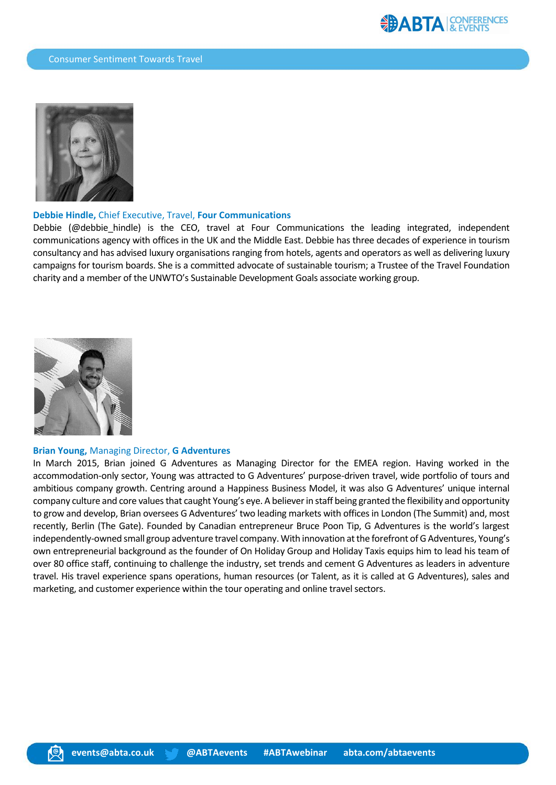



#### **Debbie Hindle,** Chief Executive, Travel, **Four Communications**

Debbie (@debbie\_hindle) is the CEO, travel at Four Communications the leading integrated, independent communications agency with offices in the UK and the Middle East. Debbie has three decades of experience in tourism consultancy and has advised luxury organisations ranging from hotels, agents and operators as well as delivering luxury campaigns for tourism boards. She is a committed advocate of sustainable tourism; a Trustee of the Travel Foundation charity and a member of the UNWTO's Sustainable Development Goals associate working group.



#### **Brian Young,** Managing Director, **G Adventures**

In March 2015, Brian joined G Adventures as Managing Director for the EMEA region. Having worked in the accommodation-only sector, Young was attracted to G Adventures' purpose-driven travel, wide portfolio of tours and ambitious company growth. Centring around a Happiness Business Model, it was also G Adventures' unique internal company culture and core values that caught Young's eye. A believer in staff being granted the flexibility and opportunity to grow and develop, Brian oversees G Adventures' two leading markets with offices in London (The Summit) and, most recently, Berlin (The Gate). Founded by Canadian entrepreneur Bruce Poon Tip, G Adventures is the world's largest independently-owned small group adventure travel company. With innovation at the forefront of G Adventures, Young's own entrepreneurial background as the founder of On Holiday Group and Holiday Taxis equips him to lead his team of over 80 office staff, continuing to challenge the industry, set trends and cement G Adventures as leaders in adventure travel. His travel experience spans operations, human resources (or Talent, as it is called at G Adventures), sales and marketing, and customer experience within the tour operating and online travel sectors.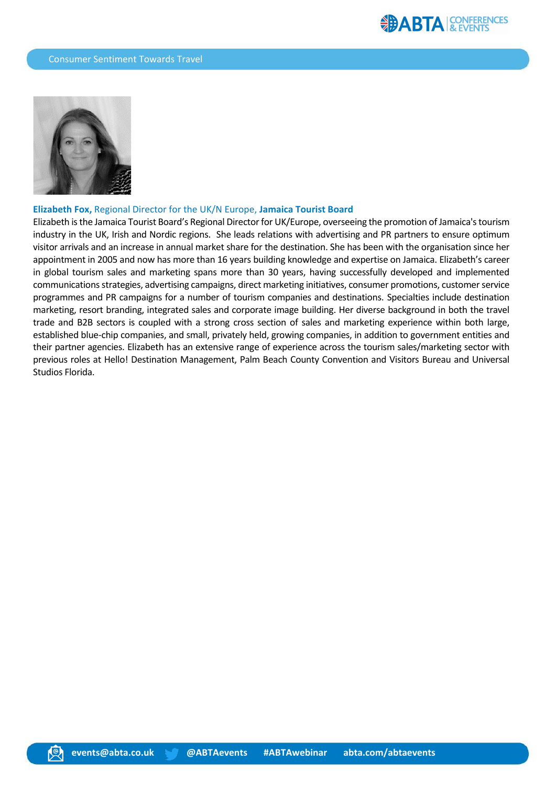

### **Elizabeth Fox,** Regional Director for the UK/N Europe, **Jamaica Tourist Board**

Elizabeth is the Jamaica Tourist Board's Regional Director for UK/Europe, overseeing the promotion of Jamaica's tourism industry in the UK, Irish and Nordic regions. She leads relations with advertising and PR partners to ensure optimum visitor arrivals and an increase in annual market share for the destination. She has been with the organisation since her appointment in 2005 and now has more than 16 years building knowledge and expertise on Jamaica. Elizabeth's career in global tourism sales and marketing spans more than 30 years, having successfully developed and implemented communications strategies, advertising campaigns, direct marketing initiatives, consumer promotions, customer service programmes and PR campaigns for a number of tourism companies and destinations. Specialties include destination marketing, resort branding, integrated sales and corporate image building. Her diverse background in both the travel trade and B2B sectors is coupled with a strong cross section of sales and marketing experience within both large, established blue-chip companies, and small, privately held, growing companies, in addition to government entities and their partner agencies. Elizabeth has an extensive range of experience across the tourism sales/marketing sector with previous roles at Hello! Destination Management, Palm Beach County Convention and Visitors Bureau and Universal Studios Florida.